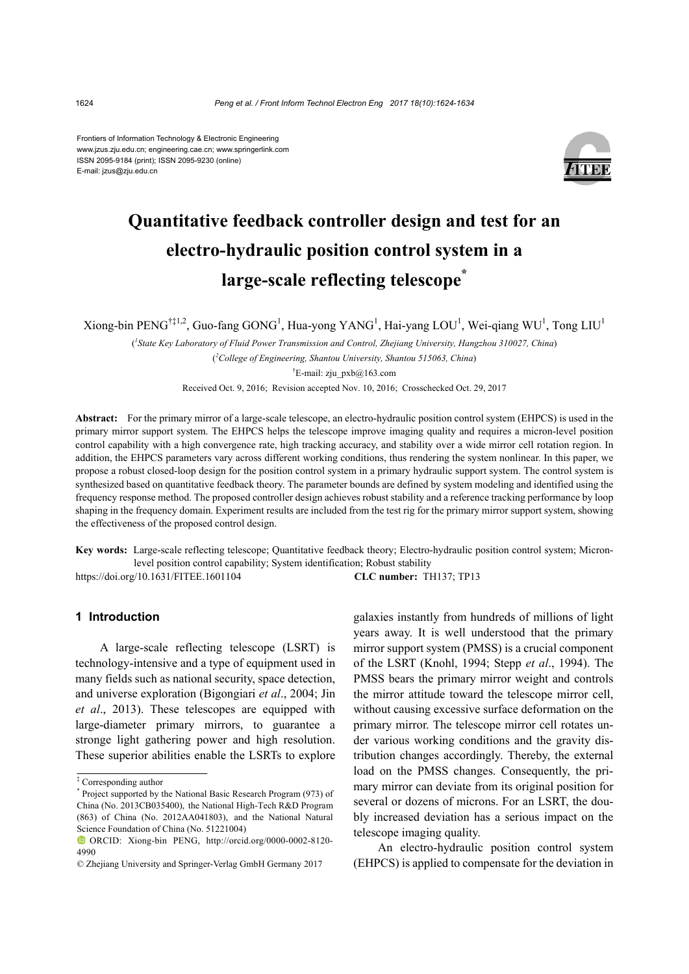Frontiers of Information Technology & Electronic Engineering www.jzus.zju.edu.cn; engineering.cae.cn; www.springerlink.com ISSN 2095-9184 (print); ISSN 2095-9230 (online) E-mail: jzus@zju.edu.cn



# **Quantitative feedback controller design and test for an electro-hydraulic position control system in a large-scale reflecting telescope\***

Xiong-bin PENG<sup>†‡1,2</sup>, Guo-fang GONG<sup>1</sup>, Hua-yong YANG<sup>1</sup>, Hai-yang LOU<sup>1</sup>, Wei-qiang WU<sup>1</sup>, Tong LIU<sup>1</sup>

( *1 State Key Laboratory of Fluid Power Transmission and Control, Zhejiang University, Hangzhou 310027, China*) ( *2 College of Engineering, Shantou University, Shantou 515063, China*) † E-mail: zju\_pxb@163.com

Received Oct. 9, 2016; Revision accepted Nov. 10, 2016; Crosschecked Oct. 29, 2017

**Abstract:** For the primary mirror of a large-scale telescope, an electro-hydraulic position control system (EHPCS) is used in the primary mirror support system. The EHPCS helps the telescope improve imaging quality and requires a micron-level position control capability with a high convergence rate, high tracking accuracy, and stability over a wide mirror cell rotation region. In addition, the EHPCS parameters vary across different working conditions, thus rendering the system nonlinear. In this paper, we propose a robust closed-loop design for the position control system in a primary hydraulic support system. The control system is synthesized based on quantitative feedback theory. The parameter bounds are defined by system modeling and identified using the frequency response method. The proposed controller design achieves robust stability and a reference tracking performance by loop shaping in the frequency domain. Experiment results are included from the test rig for the primary mirror support system, showing the effectiveness of the proposed control design.

**Key words:** Large-scale reflecting telescope; Quantitative feedback theory; Electro-hydraulic position control system; Micronlevel position control capability; System identification; Robust stability

https://doi.org/10.1631/FITEE.1601104 **CLC number:** TH137; TP13

# **1 Introduction**

A large-scale reflecting telescope (LSRT) is technology-intensive and a type of equipment used in many fields such as national security, space detection, and universe exploration (Bigongiari *et al*., 2004; Jin *et al*., 2013). These telescopes are equipped with large-diameter primary mirrors, to guarantee a stronge light gathering power and high resolution. These superior abilities enable the LSRTs to explore galaxies instantly from hundreds of millions of light years away. It is well understood that the primary mirror support system (PMSS) is a crucial component of the LSRT (Knohl, 1994; Stepp *et al*., 1994). The PMSS bears the primary mirror weight and controls the mirror attitude toward the telescope mirror cell, without causing excessive surface deformation on the primary mirror. The telescope mirror cell rotates under various working conditions and the gravity distribution changes accordingly. Thereby, the external load on the PMSS changes. Consequently, the primary mirror can deviate from its original position for several or dozens of microns. For an LSRT, the doubly increased deviation has a serious impact on the telescope imaging quality.

An electro-hydraulic position control system (EHPCS) is applied to compensate for the deviation in

<sup>‡</sup> Corresponding author

<sup>\*</sup> Project supported by the National Basic Research Program (973) of China (No. 2013CB035400), the National High-Tech R&D Program (863) of China (No. 2012AA041803), and the National Natural Science Foundation of China (No. 51221004)

ORCID: Xiong-bin PENG, http://orcid.org/0000-0002-8120- 4990

<sup>©</sup> Zhejiang University and Springer-Verlag GmbH Germany 2017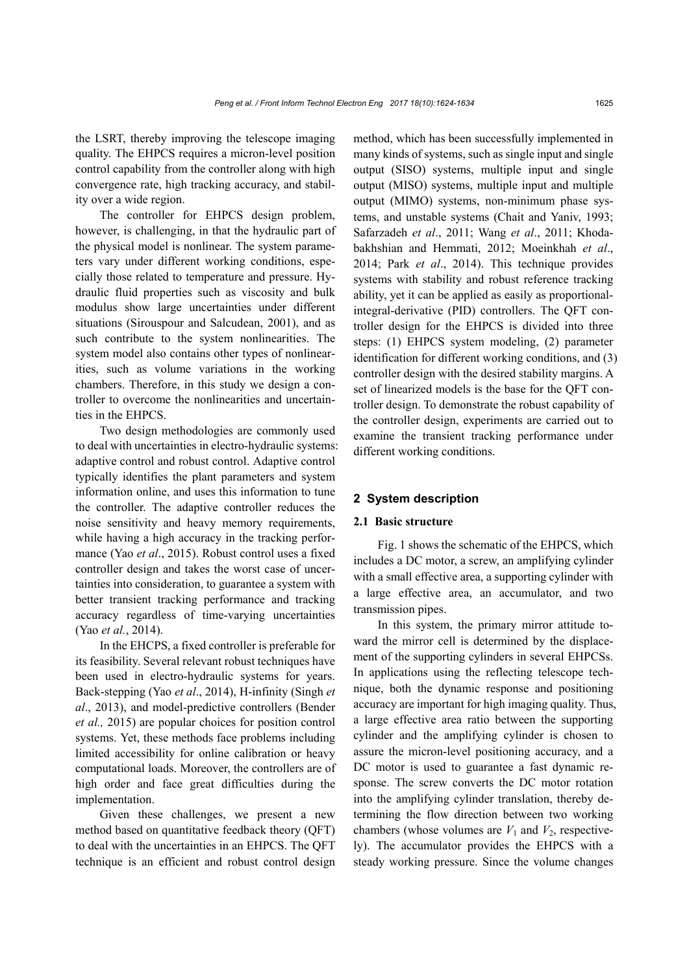the LSRT, thereby improving the telescope imaging quality. The EHPCS requires a micron-level position control capability from the controller along with high convergence rate, high tracking accuracy, and stability over a wide region.

The controller for EHPCS design problem, however, is challenging, in that the hydraulic part of the physical model is nonlinear. The system parameters vary under different working conditions, especially those related to temperature and pressure. Hydraulic fluid properties such as viscosity and bulk modulus show large uncertainties under different situations (Sirouspour and Salcudean, 2001), and as such contribute to the system nonlinearities. The system model also contains other types of nonlinearities, such as volume variations in the working chambers. Therefore, in this study we design a controller to overcome the nonlinearities and uncertainties in the EHPCS.

Two design methodologies are commonly used to deal with uncertainties in electro-hydraulic systems: adaptive control and robust control. Adaptive control typically identifies the plant parameters and system information online, and uses this information to tune the controller. The adaptive controller reduces the noise sensitivity and heavy memory requirements, while having a high accuracy in the tracking performance (Yao *et al*., 2015). Robust control uses a fixed controller design and takes the worst case of uncertainties into consideration, to guarantee a system with better transient tracking performance and tracking accuracy regardless of time-varying uncertainties (Yao *et al.*, 2014).

In the EHCPS, a fixed controller is preferable for its feasibility. Several relevant robust techniques have been used in electro-hydraulic systems for years. Back-stepping (Yao *et al*., 2014), H-infinity (Singh *et al*., 2013), and model-predictive controllers (Bender *et al.,* 2015) are popular choices for position control systems. Yet, these methods face problems including limited accessibility for online calibration or heavy computational loads. Moreover, the controllers are of high order and face great difficulties during the implementation.

Given these challenges, we present a new method based on quantitative feedback theory (QFT) to deal with the uncertainties in an EHPCS. The QFT technique is an efficient and robust control design method, which has been successfully implemented in many kinds of systems, such as single input and single output (SISO) systems, multiple input and single output (MISO) systems, multiple input and multiple output (MIMO) systems, non-minimum phase systems, and unstable systems (Chait and Yaniv, 1993; Safarzadeh *et al*., 2011; Wang *et al*., 2011; Khodabakhshian and Hemmati, 2012; Moeinkhah *et al*., 2014; Park *et al*., 2014). This technique provides systems with stability and robust reference tracking ability, yet it can be applied as easily as proportionalintegral-derivative (PID) controllers. The QFT controller design for the EHPCS is divided into three steps: (1) EHPCS system modeling, (2) parameter identification for different working conditions, and (3) controller design with the desired stability margins. A set of linearized models is the base for the QFT controller design. To demonstrate the robust capability of the controller design, experiments are carried out to examine the transient tracking performance under different working conditions.

# **2 System description**

#### **2.1 Basic structure**

Fig. 1 shows the schematic of the EHPCS, which includes a DC motor, a screw, an amplifying cylinder with a small effective area, a supporting cylinder with a large effective area, an accumulator, and two transmission pipes.

In this system, the primary mirror attitude toward the mirror cell is determined by the displacement of the supporting cylinders in several EHPCSs. In applications using the reflecting telescope technique, both the dynamic response and positioning accuracy are important for high imaging quality. Thus, a large effective area ratio between the supporting cylinder and the amplifying cylinder is chosen to assure the micron-level positioning accuracy, and a DC motor is used to guarantee a fast dynamic response. The screw converts the DC motor rotation into the amplifying cylinder translation, thereby determining the flow direction between two working chambers (whose volumes are  $V_1$  and  $V_2$ , respectively). The accumulator provides the EHPCS with a steady working pressure. Since the volume changes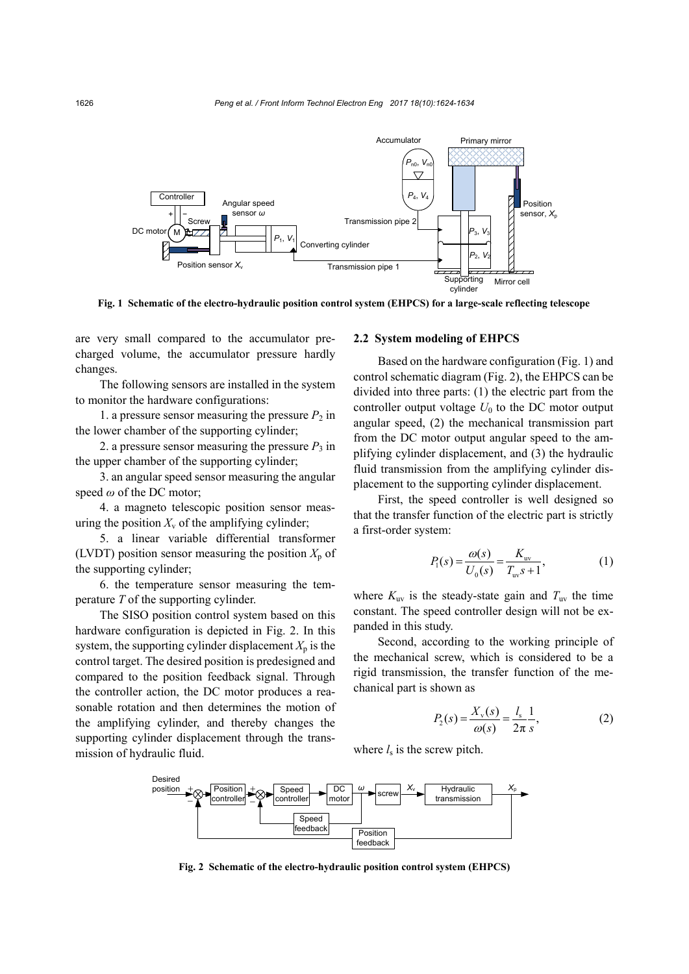

**Fig. 1 Schematic of the electro-hydraulic position control system (EHPCS) for a large-scale reflecting telescope**

are very small compared to the accumulator precharged volume, the accumulator pressure hardly changes.

The following sensors are installed in the system to monitor the hardware configurations:

1. a pressure sensor measuring the pressure  $P_2$  in the lower chamber of the supporting cylinder;

2. a pressure sensor measuring the pressure  $P_3$  in the upper chamber of the supporting cylinder;

3. an angular speed sensor measuring the angular speed *ω* of the DC motor;

4. a magneto telescopic position sensor measuring the position  $X_v$  of the amplifying cylinder;

5. a linear variable differential transformer (LVDT) position sensor measuring the position  $X_p$  of the supporting cylinder;

6. the temperature sensor measuring the temperature *T* of the supporting cylinder.

The SISO position control system based on this hardware configuration is depicted in Fig. 2. In this system, the supporting cylinder displacement  $X_p$  is the control target. The desired position is predesigned and compared to the position feedback signal. Through the controller action, the DC motor produces a reasonable rotation and then determines the motion of the amplifying cylinder, and thereby changes the supporting cylinder displacement through the transmission of hydraulic fluid.

## **2.2 System modeling of EHPCS**

Based on the hardware configuration (Fig. 1) and control schematic diagram (Fig. 2), the EHPCS can be divided into three parts: (1) the electric part from the controller output voltage  $U_0$  to the DC motor output angular speed, (2) the mechanical transmission part from the DC motor output angular speed to the amplifying cylinder displacement, and (3) the hydraulic fluid transmission from the amplifying cylinder displacement to the supporting cylinder displacement.

First, the speed controller is well designed so that the transfer function of the electric part is strictly a first-order system:

$$
P_1(s) = \frac{\omega(s)}{U_0(s)} = \frac{K_{uv}}{T_{uv}s + 1},
$$
 (1)

where  $K_{\rm uv}$  is the steady-state gain and  $T_{\rm uv}$  the time constant. The speed controller design will not be expanded in this study.

Second, according to the working principle of the mechanical screw, which is considered to be a rigid transmission, the transfer function of the mechanical part is shown as

$$
P_2(s) = \frac{X_v(s)}{\omega(s)} = \frac{l_s}{2\pi} \frac{1}{s},
$$
 (2)

where  $l_s$  is the screw pitch.



**Fig. 2 Schematic of the electro-hydraulic position control system (EHPCS)**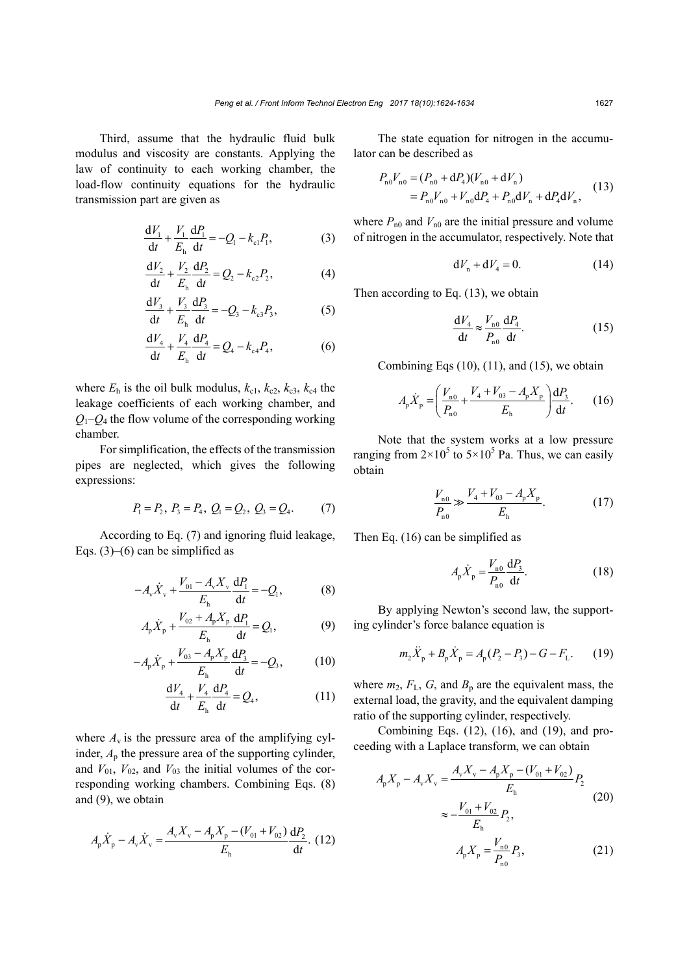Third, assume that the hydraulic fluid bulk modulus and viscosity are constants. Applying the law of continuity to each working chamber, the load-flow continuity equations for the hydraulic transmission part are given as

$$
\frac{dV_1}{dt} + \frac{V_1}{E_h} \frac{dP_1}{dt} = -Q_1 - k_{cl} P_1,
$$
 (3)

$$
\frac{dV_2}{dt} + \frac{V_2}{E_h} \frac{dP_2}{dt} = Q_2 - k_{c2}P_2,
$$
 (4)

$$
\frac{dV_3}{dt} + \frac{V_3}{E_h} \frac{dP_3}{dt} = -Q_3 - k_{c3}P_3,
$$
 (5)

$$
\frac{dV_4}{dt} + \frac{V_4}{E_h} \frac{dP_4}{dt} = Q_4 - k_{c4} P_4,
$$
 (6)

where  $E_h$  is the oil bulk modulus,  $k_{c1}$ ,  $k_{c2}$ ,  $k_{c3}$ ,  $k_{c4}$  the leakage coefficients of each working chamber, and  $Q_1 - Q_4$  the flow volume of the corresponding working chamber.

For simplification, the effects of the transmission pipes are neglected, which gives the following expressions:

$$
P_1 = P_2, P_3 = P_4, Q_1 = Q_2, Q_3 = Q_4.
$$
 (7)

According to Eq. (7) and ignoring fluid leakage, Eqs.  $(3)$ – $(6)$  can be simplified as

$$
-A_{\rm v}\dot{X}_{\rm v} + \frac{V_{01} - A_{\rm v}X_{\rm v}}{E_{\rm h}}\frac{\mathrm{d}P_{\rm l}}{\mathrm{d}t} = -Q_{\rm l},\tag{8}
$$

$$
A_{p}\dot{X}_{p} + \frac{V_{02} + A_{p}X_{p}}{E_{h}}\frac{dP_{1}}{dt} = Q_{1},
$$
\t(9)

$$
-A_{p}\dot{X}_{p} + \frac{V_{03} - A_{p}X_{p}}{E_{h}}\frac{dP_{3}}{dt} = -Q_{3},
$$
 (10)

$$
\frac{dV_4}{dt} + \frac{V_4}{E_h} \frac{dP_4}{dt} = Q_4,\tag{11}
$$

where  $A<sub>v</sub>$  is the pressure area of the amplifying cylinder,  $A<sub>p</sub>$  the pressure area of the supporting cylinder, and  $V_{01}$ ,  $V_{02}$ , and  $V_{03}$  the initial volumes of the corresponding working chambers. Combining Eqs. (8) and (9), we obtain

$$
A_{\rm p}\dot{X}_{\rm p} - A_{\rm v}\dot{X}_{\rm v} = \frac{A_{\rm v}X_{\rm v} - A_{\rm p}X_{\rm p} - (V_{01} + V_{02})}{E_{\rm h}}\frac{\mathrm{d}P_2}{\mathrm{d}t}.
$$
 (12)

The state equation for nitrogen in the accumulator can be described as

$$
P_{n0}V_{n0} = (P_{n0} + dP_4)(V_{n0} + dV_n)
$$
  
=  $P_{n0}V_{n0} + V_{n0}dP_4 + P_{n0}dV_n + dP_4dV_n$ , (13)

where  $P_{n0}$  and  $V_{n0}$  are the initial pressure and volume of nitrogen in the accumulator, respectively. Note that

$$
dV_n + dV_4 = 0.
$$
 (14)

Then according to Eq. (13), we obtain

$$
\frac{\mathrm{d}V_4}{\mathrm{d}t} \approx \frac{V_{\text{n0}}}{P_{\text{n0}}} \frac{\mathrm{d}P_4}{\mathrm{d}t}.\tag{15}
$$

Combining Eqs  $(10)$ ,  $(11)$ , and  $(15)$ , we obtain

$$
A_{p}\dot{X}_{p} = \left(\frac{V_{n0}}{P_{n0}} + \frac{V_{4} + V_{03} - A_{p}X_{p}}{E_{h}}\right)\frac{dP_{3}}{dt}.
$$
 (16)

Note that the system works at a low pressure ranging from  $2 \times 10^5$  to  $5 \times 10^5$  Pa. Thus, we can easily obtain

$$
\frac{V_{n0}}{P_{n0}} \gg \frac{V_4 + V_{03} - A_p X_p}{E_h}.
$$
 (17)

Then Eq. (16) can be simplified as

$$
A_{\rm p}\dot{X}_{\rm p} = \frac{V_{\rm n0}}{P_{\rm n0}} \frac{\mathrm{d}P_3}{\mathrm{d}t}.
$$
 (18)

By applying Newton's second law, the supporting cylinder's force balance equation is

$$
m_2 \ddot{X}_p + B_p \dot{X}_p = A_p (P_2 - P_3) - G - F_L.
$$
 (19)

where  $m_2$ ,  $F_L$ ,  $G$ , and  $B_p$  are the equivalent mass, the external load, the gravity, and the equivalent damping ratio of the supporting cylinder, respectively.

Combining Eqs. (12), (16), and (19), and proceeding with a Laplace transform, we can obtain

$$
A_p X_p - A_v X_v = \frac{A_v X_v - A_p X_p - (V_{01} + V_{02})}{E_h} P_2
$$
  

$$
\approx -\frac{V_{01} + V_{02}}{E_h} P_2,
$$
  

$$
A_p X_p = \frac{V_{n0}}{P_{n0}} P_3,
$$
 (21)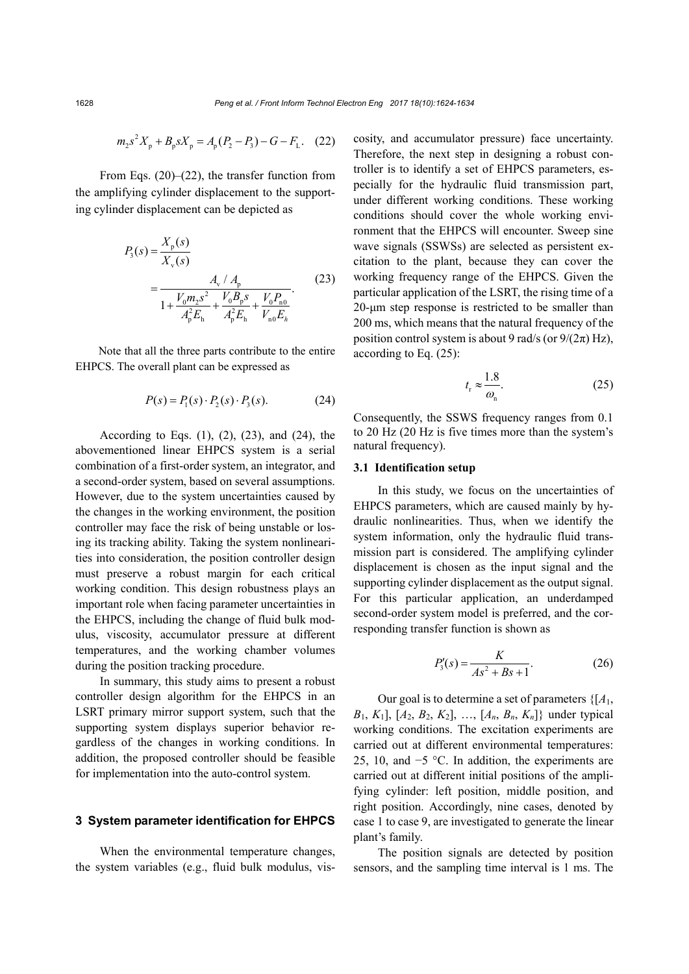$$
m_2 s^2 X_p + B_p s X_p = A_p (P_2 - P_3) - G - F_L. \quad (22)
$$

From Eqs. (20)–(22), the transfer function from the amplifying cylinder displacement to the supporting cylinder displacement can be depicted as

$$
P_3(s) = \frac{X_p(s)}{X_v(s)}
$$
  
= 
$$
\frac{A_v / A_p}{1 + \frac{V_0 m_2 s^2}{A_p^2 E_h} + \frac{V_0 B_p s}{A_p^2 E_h} + \frac{V_0 P_{n0}}{V_{n0} E_h}}.
$$
 (23)

Note that all the three parts contribute to the entire EHPCS. The overall plant can be expressed as

$$
P(s) = P_1(s) \cdot P_2(s) \cdot P_3(s).
$$
 (24)

According to Eqs.  $(1)$ ,  $(2)$ ,  $(23)$ , and  $(24)$ , the abovementioned linear EHPCS system is a serial combination of a first-order system, an integrator, and a second-order system, based on several assumptions. However, due to the system uncertainties caused by the changes in the working environment, the position controller may face the risk of being unstable or losing its tracking ability. Taking the system nonlinearities into consideration, the position controller design must preserve a robust margin for each critical working condition. This design robustness plays an important role when facing parameter uncertainties in the EHPCS, including the change of fluid bulk modulus, viscosity, accumulator pressure at different temperatures, and the working chamber volumes during the position tracking procedure.

In summary, this study aims to present a robust controller design algorithm for the EHPCS in an LSRT primary mirror support system, such that the supporting system displays superior behavior regardless of the changes in working conditions. In addition, the proposed controller should be feasible for implementation into the auto-control system.

#### **3 System parameter identification for EHPCS**

When the environmental temperature changes, the system variables (e.g., fluid bulk modulus, viscosity, and accumulator pressure) face uncertainty. Therefore, the next step in designing a robust controller is to identify a set of EHPCS parameters, especially for the hydraulic fluid transmission part, under different working conditions. These working conditions should cover the whole working environment that the EHPCS will encounter. Sweep sine wave signals (SSWSs) are selected as persistent excitation to the plant, because they can cover the working frequency range of the EHPCS. Given the particular application of the LSRT, the rising time of a 20-μm step response is restricted to be smaller than 200 ms, which means that the natural frequency of the position control system is about 9 rad/s (or  $9/(2\pi)$  Hz), according to Eq. (25):

$$
t_{\rm r} \approx \frac{1.8}{\omega_{\rm n}}.\tag{25}
$$

Consequently, the SSWS frequency ranges from 0.1 to 20 Hz (20 Hz is five times more than the system's natural frequency).

## **3.1 Identification setup**

In this study, we focus on the uncertainties of EHPCS parameters, which are caused mainly by hydraulic nonlinearities. Thus, when we identify the system information, only the hydraulic fluid transmission part is considered. The amplifying cylinder displacement is chosen as the input signal and the supporting cylinder displacement as the output signal. For this particular application, an underdamped second-order system model is preferred, and the corresponding transfer function is shown as

$$
P'_{3}(s) = \frac{K}{As^{2} + Bs + 1}.
$$
 (26)

Our goal is to determine a set of parameters {[*A*1,  $B_1, K_1$ ],  $[A_2, B_2, K_2]$ , ...,  $[A_n, B_n, K_n]$ } under typical working conditions. The excitation experiments are carried out at different environmental temperatures: 25, 10, and −5 °C. In addition, the experiments are carried out at different initial positions of the amplifying cylinder: left position, middle position, and right position. Accordingly, nine cases, denoted by case 1 to case 9, are investigated to generate the linear plant's family.

The position signals are detected by position sensors, and the sampling time interval is 1 ms. The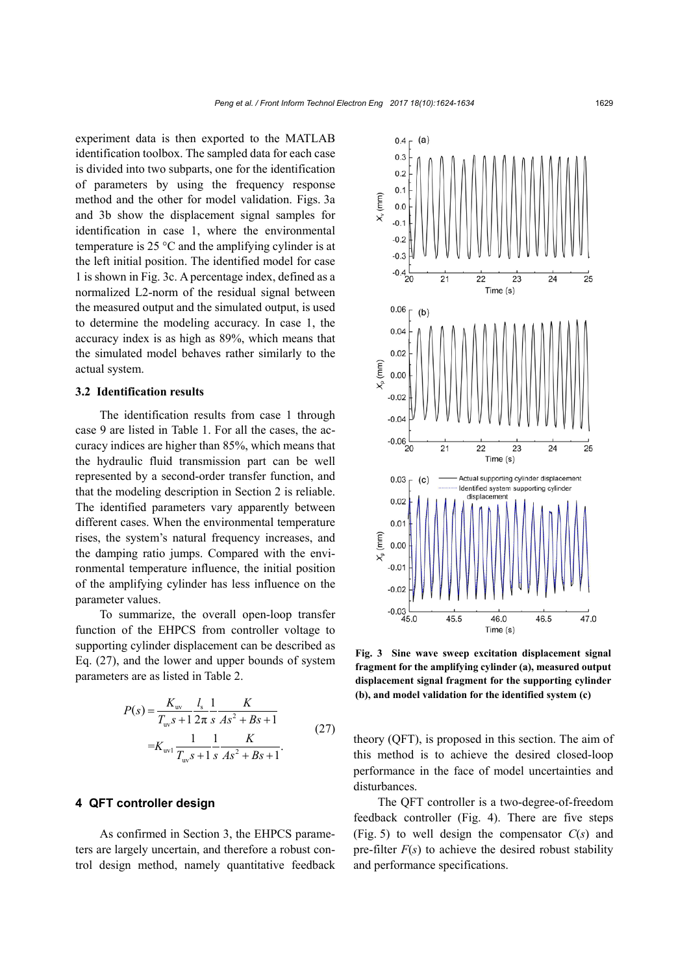experiment data is then exported to the MATLAB identification toolbox. The sampled data for each case is divided into two subparts, one for the identification of parameters by using the frequency response method and the other for model validation. Figs. 3a and 3b show the displacement signal samples for identification in case 1, where the environmental temperature is 25 °C and the amplifying cylinder is at the left initial position. The identified model for case 1 is shown in Fig. 3c. A percentage index, defined as a normalized L2-norm of the residual signal between the measured output and the simulated output, is used to determine the modeling accuracy. In case 1, the accuracy index is as high as 89%, which means that the simulated model behaves rather similarly to the actual system.

#### **3.2 Identification results**

The identification results from case 1 through case 9 are listed in Table 1. For all the cases, the accuracy indices are higher than 85%, which means that the hydraulic fluid transmission part can be well represented by a second-order transfer function, and that the modeling description in Section 2 is reliable. The identified parameters vary apparently between different cases. When the environmental temperature rises, the system's natural frequency increases, and the damping ratio jumps. Compared with the environmental temperature influence, the initial position of the amplifying cylinder has less influence on the parameter values.

To summarize, the overall open-loop transfer function of the EHPCS from controller voltage to supporting cylinder displacement can be described as Eq. (27), and the lower and upper bounds of system parameters are as listed in Table 2.

$$
P(s) = \frac{K_{\text{uv}}}{T_{\text{uv}}s + 1} \frac{l_s}{2\pi s} \frac{1}{As^2 + Bs + 1}
$$
  
= $K_{\text{uv1}} \frac{1}{T_{\text{uv}}s + 1} \frac{1}{s} \frac{K}{As^2 + Bs + 1}$ . (27)

## **4 QFT controller design**

As confirmed in Section 3, the EHPCS parameters are largely uncertain, and therefore a robust control design method, namely quantitative feedback



**Fig. 3 Sine wave sweep excitation displacement signal fragment for the amplifying cylinder (a), measured output displacement signal fragment for the supporting cylinder (b), and model validation for the identified system (c)**

theory (QFT), is proposed in this section. The aim of this method is to achieve the desired closed-loop performance in the face of model uncertainties and disturbances.

The QFT controller is a two-degree-of-freedom feedback controller (Fig. 4). There are five steps (Fig. 5) to well design the compensator *C*(*s*) and pre-filter  $F(s)$  to achieve the desired robust stability and performance specifications.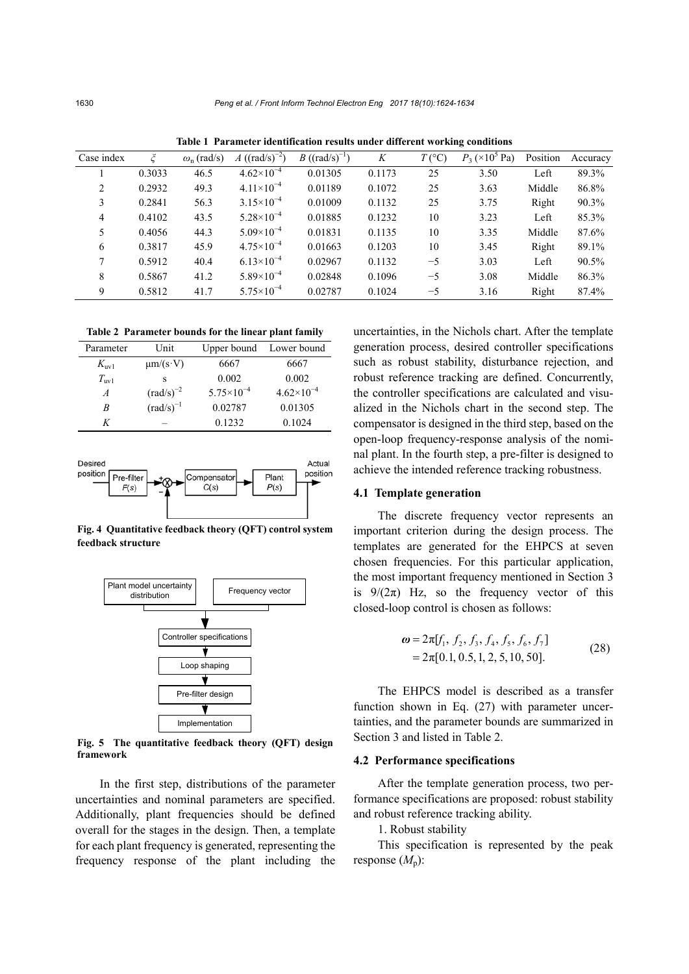| Case index     |        | $\omega_{\rm n}$ (rad/s) | A ( $(rad/s)^{-2}$ )  | <i>B</i> ((rad/s) <sup>-1</sup> ) | K      | $T({}^{\circ}C)$ | $P_3 \times 10^5$ Pa) | Position | Accuracy |
|----------------|--------|--------------------------|-----------------------|-----------------------------------|--------|------------------|-----------------------|----------|----------|
|                | 0.3033 | 46.5                     | $4.62\times10^{-4}$   | 0.01305                           | 0.1173 | 25               | 3.50                  | Left     | 89.3%    |
| $\overline{c}$ | 0.2932 | 49.3                     | $4.11 \times 10^{-4}$ | 0.01189                           | 0.1072 | 25               | 3.63                  | Middle   | 86.8%    |
| 3              | 0.2841 | 56.3                     | $3.15 \times 10^{-4}$ | 0.01009                           | 0.1132 | 25               | 3.75                  | Right    | 90.3%    |
| 4              | 0.4102 | 43.5                     | $5.28 \times 10^{-4}$ | 0.01885                           | 0.1232 | 10               | 3.23                  | Left     | 85.3%    |
| 5              | 0.4056 | 44.3                     | $5.09\times10^{-4}$   | 0.01831                           | 0.1135 | 10               | 3.35                  | Middle   | 87.6%    |
| 6              | 0.3817 | 45.9                     | $4.75 \times 10^{-4}$ | 0.01663                           | 0.1203 | 10               | 3.45                  | Right    | 89.1%    |
| 7              | 0.5912 | 40.4                     | $6.13\times10^{-4}$   | 0.02967                           | 0.1132 | $-5$             | 3.03                  | Left     | 90.5%    |
| 8              | 0.5867 | 41.2                     | $5.89\times10^{-4}$   | 0.02848                           | 0.1096 | $-5$             | 3.08                  | Middle   | 86.3%    |
| 9              | 0.5812 | 41.7                     | $5.75 \times 10^{-4}$ | 0.02787                           | 0.1024 | $-5$             | 3.16                  | Right    | 87.4%    |
|                |        |                          |                       |                                   |        |                  |                       |          |          |

**Table 1 Parameter identification results under different working conditions**

**Table 2 Parameter bounds for the linear plant family**

| Parameter        | Unit                  | Upper bound           | Lower bound         |
|------------------|-----------------------|-----------------------|---------------------|
| $K_{\text{uv1}}$ | $\mu$ m/(s·V)         | 6667                  | 6667                |
| $T_{\text{uv1}}$ | s                     | 0.002                 | 0.002               |
| $\overline{A}$   | $\text{(rad/s)}^{-2}$ | $5.75 \times 10^{-4}$ | $4.62\times10^{-4}$ |
| B                | $\text{(rad/s)}^{-1}$ | 0.02787               | 0.01305             |
| K                |                       | 0.1232                | 0.1024              |



**Fig. 4 Quantitative feedback theory (QFT) control system feedback structure**



**Fig. 5 The quantitative feedback theory (QFT) design framework**

In the first step, distributions of the parameter uncertainties and nominal parameters are specified. Additionally, plant frequencies should be defined overall for the stages in the design. Then, a template for each plant frequency is generated, representing the frequency response of the plant including the uncertainties, in the Nichols chart. After the template generation process, desired controller specifications such as robust stability, disturbance rejection, and robust reference tracking are defined. Concurrently, the controller specifications are calculated and visualized in the Nichols chart in the second step. The compensator is designed in the third step, based on the open-loop frequency-response analysis of the nominal plant. In the fourth step, a pre-filter is designed to achieve the intended reference tracking robustness.

## **4.1 Template generation**

The discrete frequency vector represents an important criterion during the design process. The templates are generated for the EHPCS at seven chosen frequencies. For this particular application, the most important frequency mentioned in Section 3 is  $9/(2\pi)$  Hz, so the frequency vector of this closed-loop control is chosen as follows:

$$
\boldsymbol{\omega} = 2\pi[f_1, f_2, f_3, f_4, f_5, f_6, f_7] \n= 2\pi[0.1, 0.5, 1, 2, 5, 10, 50].
$$
\n(28)

The EHPCS model is described as a transfer function shown in Eq. (27) with parameter uncertainties, and the parameter bounds are summarized in Section 3 and listed in Table 2.

#### **4.2 Performance specifications**

After the template generation process, two performance specifications are proposed: robust stability and robust reference tracking ability.

# 1. Robust stability

This specification is represented by the peak response  $(M_n)$ :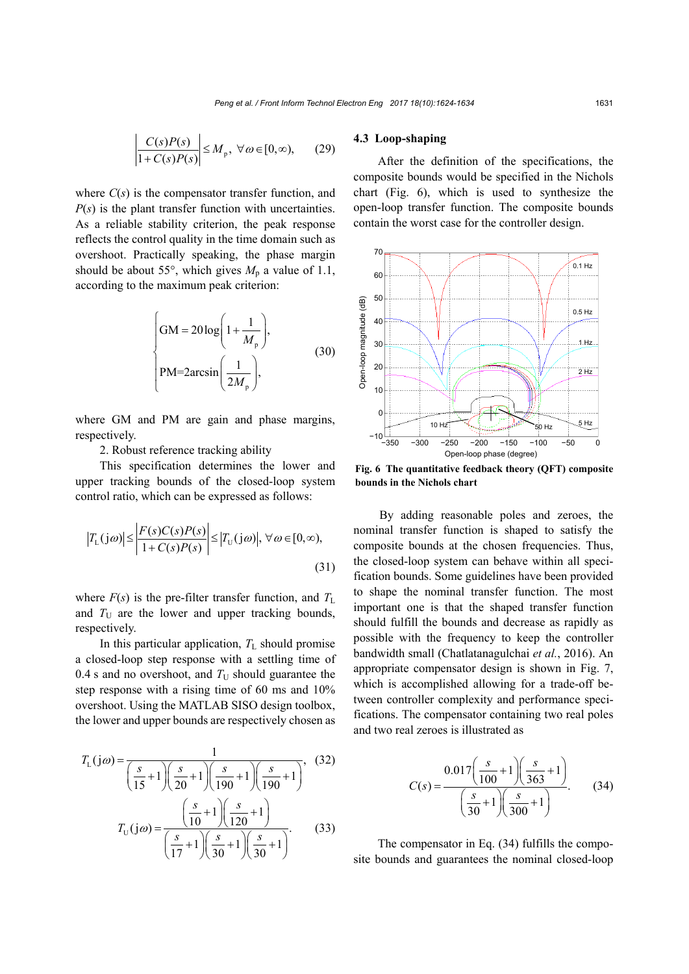$$
\left|\frac{C(s)P(s)}{1+C(s)P(s)}\right| \le M_{p}, \ \forall \omega \in [0,\infty), \qquad (29)
$$

where  $C(s)$  is the compensator transfer function, and *P*(*s*) is the plant transfer function with uncertainties. As a reliable stability criterion, the peak response reflects the control quality in the time domain such as overshoot. Practically speaking, the phase margin should be about 55°, which gives  $M_p$  a value of 1.1, according to the maximum peak criterion:

$$
\begin{cases}\nGM = 20 \log \left( 1 + \frac{1}{M_{\text{p}}} \right), \\
PM = 2 \arcsin \left( \frac{1}{2M_{\text{p}}} \right),\n\end{cases} (30)
$$

where GM and PM are gain and phase margins, respectively.

2. Robust reference tracking ability

This specification determines the lower and upper tracking bounds of the closed-loop system control ratio, which can be expressed as follows:

$$
\left|T_{\text{L}}(j\omega)\right| \le \left|\frac{F(s)C(s)P(s)}{1+C(s)P(s)}\right| \le \left|T_{\text{U}}(j\omega)\right|, \,\forall\,\omega \in [0,\infty),\tag{31}
$$

where  $F(s)$  is the pre-filter transfer function, and  $T<sub>L</sub>$ and  $T_U$  are the lower and upper tracking bounds, respectively.

In this particular application,  $T_{\text{L}}$  should promise a closed-loop step response with a settling time of 0.4 s and no overshoot, and  $T_U$  should guarantee the step response with a rising time of 60 ms and 10% overshoot. Using the MATLAB SISO design toolbox, the lower and upper bounds are respectively chosen as

$$
T_{\rm L}(j\omega) = \frac{1}{\left(\frac{s}{15} + 1\right)\left(\frac{s}{20} + 1\right)\left(\frac{s}{190} + 1\right)\left(\frac{s}{190} + 1\right)},
$$
(32)  

$$
T_{\rm U}(j\omega) = \frac{\left(\frac{s}{10} + 1\right)\left(\frac{s}{120} + 1\right)}{\left(\frac{s}{17} + 1\right)\left(\frac{s}{30} + 1\right)\left(\frac{s}{30} + 1\right)}.
$$
(33)

## **4.3 Loop-shaping**

After the definition of the specifications, the composite bounds would be specified in the Nichols chart (Fig. 6), which is used to synthesize the open-loop transfer function. The composite bounds contain the worst case for the controller design.



**Fig. 6 The quantitative feedback theory (QFT) composite bounds in the Nichols chart**

By adding reasonable poles and zeroes, the nominal transfer function is shaped to satisfy the composite bounds at the chosen frequencies. Thus, the closed-loop system can behave within all specification bounds. Some guidelines have been provided to shape the nominal transfer function. The most important one is that the shaped transfer function should fulfill the bounds and decrease as rapidly as possible with the frequency to keep the controller bandwidth small (Chatlatanagulchai *et al.*, 2016). An appropriate compensator design is shown in Fig. 7, which is accomplished allowing for a trade-off between controller complexity and performance specifications. The compensator containing two real poles and two real zeroes is illustrated as

$$
C(s) = \frac{0.017 \left(\frac{s}{100} + 1\right) \left(\frac{s}{363} + 1\right)}{\left(\frac{s}{30} + 1\right) \left(\frac{s}{300} + 1\right)}.
$$
 (34)

The compensator in Eq. (34) fulfills the composite bounds and guarantees the nominal closed-loop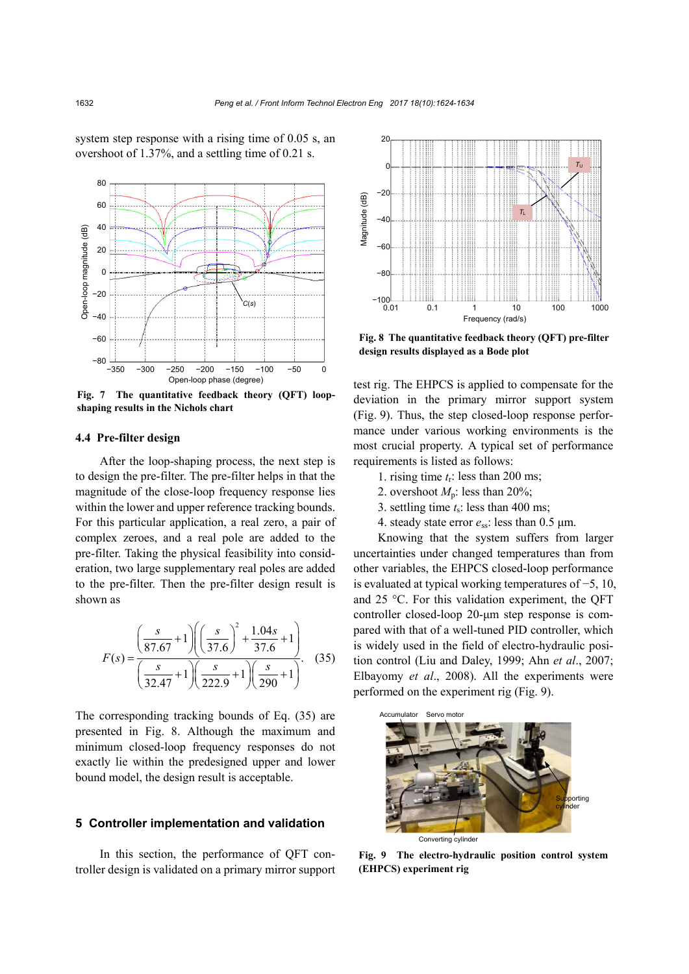



**Fig. 7 The quantitative feedback theory (QFT) loopshaping results in the Nichols chart**

## **4.4 Pre-filter design**

After the loop-shaping process, the next step is to design the pre-filter. The pre-filter helps in that the magnitude of the close-loop frequency response lies within the lower and upper reference tracking bounds. For this particular application, a real zero, a pair of complex zeroes, and a real pole are added to the pre-filter. Taking the physical feasibility into consideration, two large supplementary real poles are added to the pre-filter. Then the pre-filter design result is shown as

$$
F(s) = \frac{\left(\frac{s}{87.67} + 1\right) \left(\left(\frac{s}{37.6}\right)^2 + \frac{1.04s}{37.6} + 1\right)}{\left(\frac{s}{32.47} + 1\right) \left(\frac{s}{222.9} + 1\right) \left(\frac{s}{290} + 1\right)}.
$$
 (35)

The corresponding tracking bounds of Eq. (35) are presented in Fig. 8. Although the maximum and minimum closed-loop frequency responses do not exactly lie within the predesigned upper and lower bound model, the design result is acceptable.

# **5 Controller implementation and validation**

In this section, the performance of QFT controller design is validated on a primary mirror support



**Fig. 8 The quantitative feedback theory (QFT) pre-filter design results displayed as a Bode plot**

test rig. The EHPCS is applied to compensate for the deviation in the primary mirror support system (Fig. 9). Thus, the step closed-loop response performance under various working environments is the most crucial property. A typical set of performance requirements is listed as follows:

- 1. rising time *t*r: less than 200 ms;
- 2. overshoot  $M_p$ : less than 20%;
- 3. settling time *t*s: less than 400 ms;
- 4. steady state error *e*ss: less than 0.5 μm.

Knowing that the system suffers from larger uncertainties under changed temperatures than from other variables, the EHPCS closed-loop performance is evaluated at typical working temperatures of −5, 10, and 25 °C. For this validation experiment, the QFT controller closed-loop 20-μm step response is compared with that of a well-tuned PID controller, which is widely used in the field of electro-hydraulic position control (Liu and Daley, 1999; Ahn *et al*., 2007; Elbayomy *et al*., 2008). All the experiments were performed on the experiment rig (Fig. 9).



**Fig. 9 The electro-hydraulic position control system (EHPCS) experiment rig**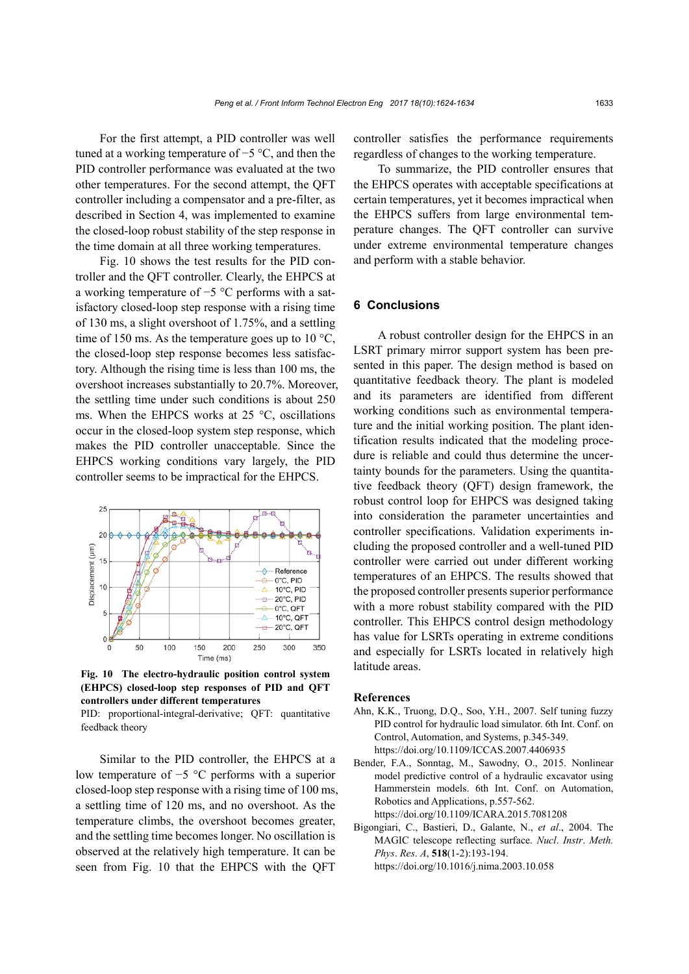For the first attempt, a PID controller was well tuned at a working temperature of −5 °C, and then the PID controller performance was evaluated at the two other temperatures. For the second attempt, the QFT controller including a compensator and a pre-filter, as described in Section 4, was implemented to examine the closed-loop robust stability of the step response in the time domain at all three working temperatures.

Fig. 10 shows the test results for the PID controller and the QFT controller. Clearly, the EHPCS at a working temperature of −5 °C performs with a satisfactory closed-loop step response with a rising time of 130 ms, a slight overshoot of 1.75%, and a settling time of 150 ms. As the temperature goes up to 10  $^{\circ}$ C, the closed-loop step response becomes less satisfactory. Although the rising time is less than 100 ms, the overshoot increases substantially to 20.7%. Moreover, the settling time under such conditions is about 250 ms. When the EHPCS works at 25 °C, oscillations occur in the closed-loop system step response, which makes the PID controller unacceptable. Since the EHPCS working conditions vary largely, the PID controller seems to be impractical for the EHPCS.



**Fig. 10 The electro-hydraulic position control system (EHPCS) closed-loop step responses of PID and QFT controllers under different temperatures**

PID: proportional-integral-derivative; QFT: quantitative feedback theory

Similar to the PID controller, the EHPCS at a low temperature of −5 °C performs with a superior closed-loop step response with a rising time of 100 ms, a settling time of 120 ms, and no overshoot. As the temperature climbs, the overshoot becomes greater, and the settling time becomes longer. No oscillation is observed at the relatively high temperature. It can be seen from Fig. 10 that the EHPCS with the QFT

controller satisfies the performance requirements regardless of changes to the working temperature.

To summarize, the PID controller ensures that the EHPCS operates with acceptable specifications at certain temperatures, yet it becomes impractical when the EHPCS suffers from large environmental temperature changes. The QFT controller can survive under extreme environmental temperature changes and perform with a stable behavior.

#### **6 Conclusions**

A robust controller design for the EHPCS in an LSRT primary mirror support system has been presented in this paper. The design method is based on quantitative feedback theory. The plant is modeled and its parameters are identified from different working conditions such as environmental temperature and the initial working position. The plant identification results indicated that the modeling procedure is reliable and could thus determine the uncertainty bounds for the parameters. Using the quantitative feedback theory (QFT) design framework, the robust control loop for EHPCS was designed taking into consideration the parameter uncertainties and controller specifications. Validation experiments including the proposed controller and a well-tuned PID controller were carried out under different working temperatures of an EHPCS. The results showed that the proposed controller presents superior performance with a more robust stability compared with the PID controller. This EHPCS control design methodology has value for LSRTs operating in extreme conditions and especially for LSRTs located in relatively high latitude areas.

#### **References**

- Ahn, K.K., Truong, D.Q., Soo, Y.H., 2007. Self tuning fuzzy PID control for hydraulic load simulator. 6th Int. Conf. on Control, Automation, and Systems, p.345-349. https://doi.org/10.1109/ICCAS.2007.4406935
- Bender, F.A., Sonntag, M., Sawodny, O., 2015. Nonlinear model predictive control of a hydraulic excavator using Hammerstein models. 6th Int. Conf. on Automation, Robotics and Applications, p.557-562. https://doi.org/10.1109/ICARA.2015.7081208
- Bigongiari, C., Bastieri, D., Galante, N., *et al*., 2004. The MAGIC telescope reflecting surface. *Nucl*. *Instr*. *Meth. Phys*. *Res*. *A*, **518**(1-2):193-194. https://doi.org/10.1016/j.nima.2003.10.058